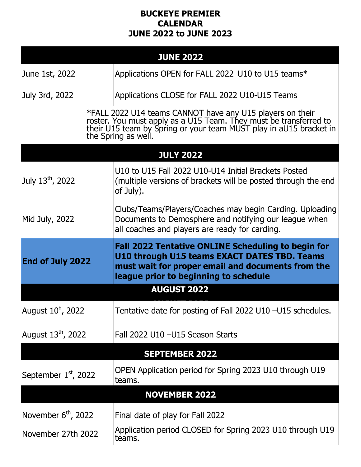## **BUCKEYE PREMIER CALENDAR JUNE 2022 to JUNE 2023**

| <b>JUNE 2022</b>                 |                                                                                                                                                                                                                             |  |
|----------------------------------|-----------------------------------------------------------------------------------------------------------------------------------------------------------------------------------------------------------------------------|--|
| June 1st, 2022                   | Applications OPEN for FALL 2022 U10 to U15 teams*                                                                                                                                                                           |  |
| July 3rd, 2022                   | Applications CLOSE for FALL 2022 U10-U15 Teams                                                                                                                                                                              |  |
|                                  | *FALL 2022 U14 teams CANNOT have any U15 players on their<br>roster. You must apply as a U15 Team. They must be transferred to<br>their U15 team by Spring or your team MUST play in aU15 bracket in<br>the Spring as well. |  |
| <b>JULY 2022</b>                 |                                                                                                                                                                                                                             |  |
| July 13 <sup>th</sup> , 2022     | U10 to U15 Fall 2022 U10-U14 Initial Brackets Posted<br>(multiple versions of brackets will be posted through the end<br>of July).                                                                                          |  |
| Mid July, 2022                   | Clubs/Teams/Players/Coaches may begin Carding. Uploading<br>Documents to Demosphere and notifying our league when<br>all coaches and players are ready for carding.                                                         |  |
| <b>End of July 2022</b>          | <b>Fall 2022 Tentative ONLINE Scheduling to begin for</b><br>U10 through U15 teams EXACT DATES TBD. Teams<br>must wait for proper email and documents from the<br>league prior to beginning to schedule                     |  |
|                                  | <b>AUGUST 2022</b>                                                                                                                                                                                                          |  |
| August $10^{\text{h}}$ , 2022    | Tentative date for posting of Fall 2022 U10 -U15 schedules.                                                                                                                                                                 |  |
| August 13 <sup>th</sup> , 2022   | Fall 2022 U10 - U15 Season Starts                                                                                                                                                                                           |  |
| <b>SEPTEMBER 2022</b>            |                                                                                                                                                                                                                             |  |
| September 1 <sup>st</sup> , 2022 | OPEN Application period for Spring 2023 U10 through U19<br>teams.                                                                                                                                                           |  |
|                                  | <b>NOVEMBER 2022</b>                                                                                                                                                                                                        |  |
| November 6 <sup>th</sup> , 2022  | Final date of play for Fall 2022                                                                                                                                                                                            |  |
| November 27th 2022               | Application period CLOSED for Spring 2023 U10 through U19<br>teams.                                                                                                                                                         |  |